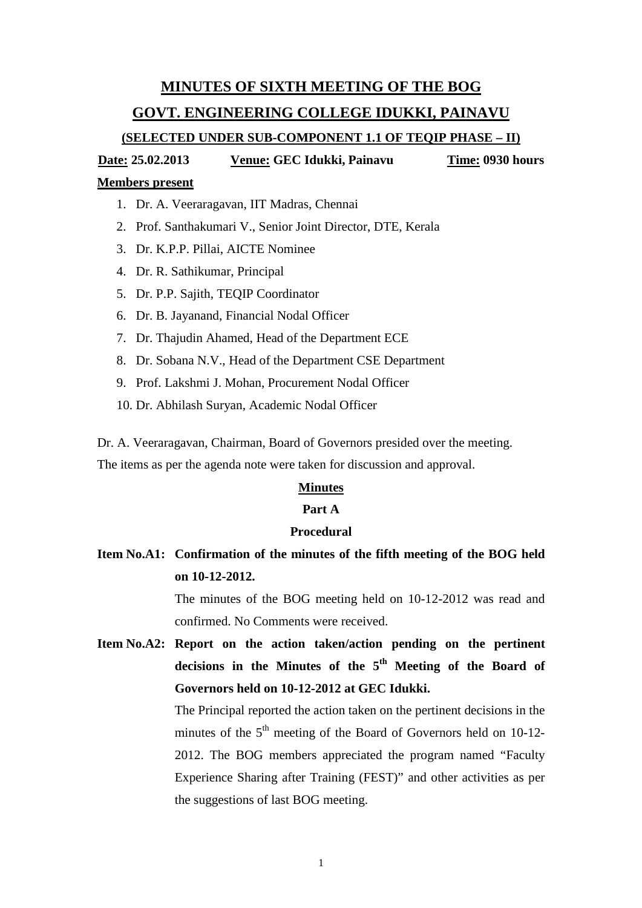# **MINUTES OF SIXTH MEETING OF THE BOG**

## **GOVT. ENGINEERING COLLEGE IDUKKI, PAINAVU**

# **(SELECTED UNDER SUB-COMPONENT 1.1 OF TEQIP PHASE – II)**

**Date: 25.02.2013 Venue: GEC Idukki, Painavu Time: 0930 hours**

### **Members present**

- 1. Dr. A. Veeraragavan, IIT Madras, Chennai
- 2. Prof. Santhakumari V., Senior Joint Director, DTE, Kerala
- 3. Dr. K.P.P. Pillai, AICTE Nominee
- 4. Dr. R. Sathikumar, Principal
- 5. Dr. P.P. Sajith, TEQIP Coordinator
- 6. Dr. B. Jayanand, Financial Nodal Officer
- 7. Dr. Thajudin Ahamed, Head of the Department ECE
- 8. Dr. Sobana N.V., Head of the Department CSE Department
- 9. Prof. Lakshmi J. Mohan, Procurement Nodal Officer
- 10. Dr. Abhilash Suryan, Academic Nodal Officer

Dr. A. Veeraragavan, Chairman, Board of Governors presided over the meeting. The items as per the agenda note were taken for discussion and approval.

#### **Minutes**

## **Part A**

#### **Procedural**

# **Item No.A1: Confirmation of the minutes of the fifth meeting of the BOG held on 10-12-2012.**

The minutes of the BOG meeting held on 10-12-2012 was read and confirmed. No Comments were received.

**Item No.A2: Report on the action taken/action pending on the pertinent decisions in the Minutes of the 5th Meeting of the Board of Governors held on 10-12-2012 at GEC Idukki.**

> The Principal reported the action taken on the pertinent decisions in the minutes of the  $5<sup>th</sup>$  meeting of the Board of Governors held on 10-12-2012. The BOG members appreciated the program named "Faculty Experience Sharing after Training (FEST)" and other activities as per the suggestions of last BOG meeting.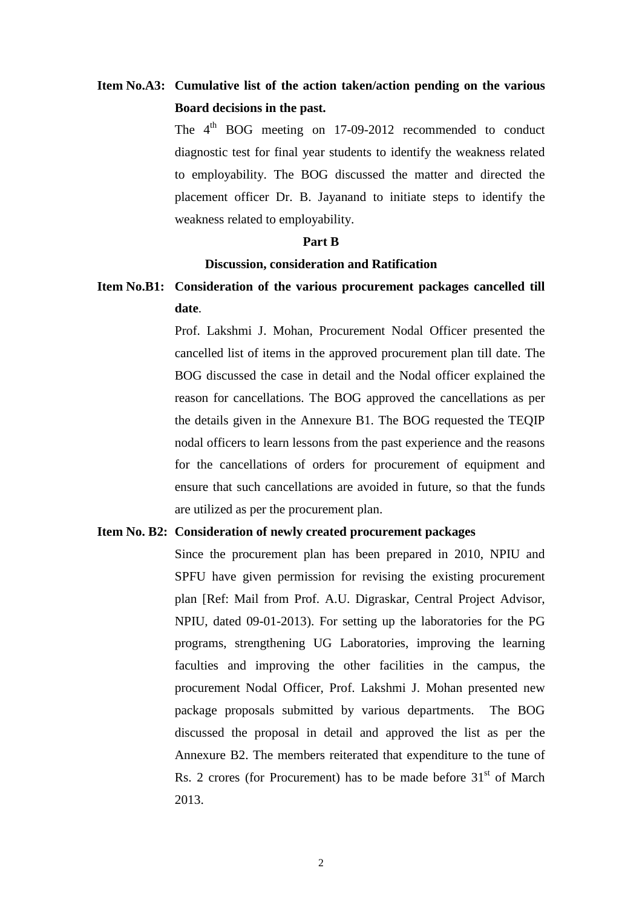# **Item No.A3: Cumulative list of the action taken/action pending on the various Board decisions in the past.**

The  $4<sup>th</sup>$  BOG meeting on 17-09-2012 recommended to conduct diagnostic test for final year students to identify the weakness related to employability. The BOG discussed the matter and directed the placement officer Dr. B. Jayanand to initiate steps to identify the weakness related to employability.

#### **Part B**

#### **Discussion, consideration and Ratification**

**Item No.B1: Consideration of the various procurement packages cancelled till date**.

> Prof. Lakshmi J. Mohan, Procurement Nodal Officer presented the cancelled list of items in the approved procurement plan till date. The BOG discussed the case in detail and the Nodal officer explained the reason for cancellations. The BOG approved the cancellations as per the details given in the Annexure B1. The BOG requested the TEQIP nodal officers to learn lessons from the past experience and the reasons for the cancellations of orders for procurement of equipment and ensure that such cancellations are avoided in future, so that the funds are utilized as per the procurement plan.

### **Item No. B2: Consideration of newly created procurement packages**

Since the procurement plan has been prepared in 2010, NPIU and SPFU have given permission for revising the existing procurement plan [Ref: Mail from Prof. A.U. Digraskar, Central Project Advisor, NPIU, dated 09-01-2013). For setting up the laboratories for the PG programs, strengthening UG Laboratories, improving the learning faculties and improving the other facilities in the campus, the procurement Nodal Officer, Prof. Lakshmi J. Mohan presented new package proposals submitted by various departments. The BOG discussed the proposal in detail and approved the list as per the Annexure B2. The members reiterated that expenditure to the tune of Rs. 2 crores (for Procurement) has to be made before  $31<sup>st</sup>$  of March 2013.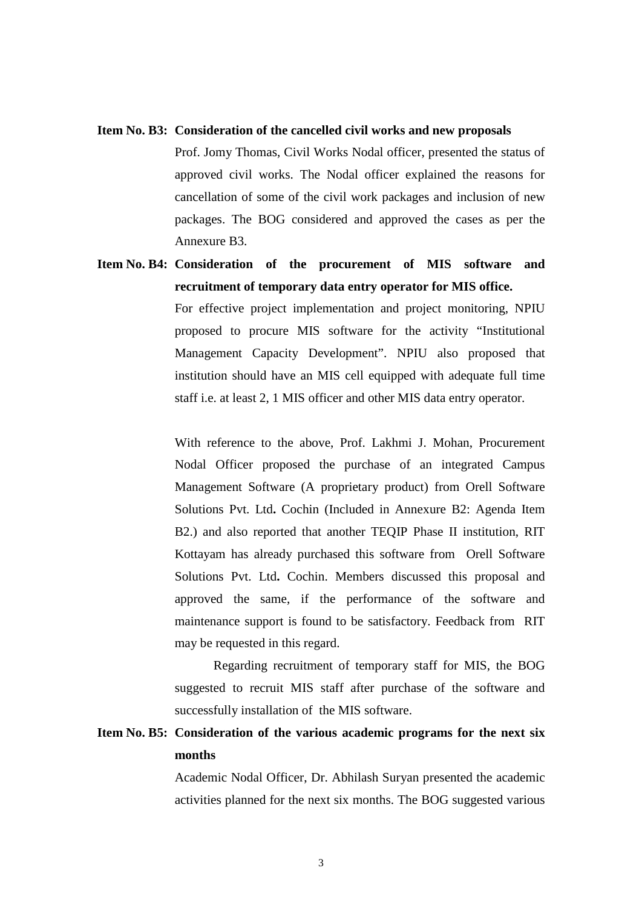#### **Item No. B3: Consideration of the cancelled civil works and new proposals**

Prof. Jomy Thomas, Civil Works Nodal officer, presented the status of approved civil works. The Nodal officer explained the reasons for cancellation of some of the civil work packages and inclusion of new packages. The BOG considered and approved the cases as per the Annexure B3.

# **Item No. B4: Consideration of the procurement of MIS software and recruitment of temporary data entry operator for MIS office.**

For effective project implementation and project monitoring, NPIU proposed to procure MIS software for the activity "Institutional Management Capacity Development". NPIU also proposed that institution should have an MIS cell equipped with adequate full time staff i.e. at least 2, 1 MIS officer and other MIS data entry operator.

With reference to the above, Prof. Lakhmi J. Mohan, Procurement Nodal Officer proposed the purchase of an integrated Campus Management Software (A proprietary product) from Orell Software Solutions Pvt. Ltd**.** Cochin (Included in Annexure B2: Agenda Item B2.) and also reported that another TEQIP Phase II institution, RIT Kottayam has already purchased this software from Orell Software Solutions Pvt. Ltd**.** Cochin. Members discussed this proposal and approved the same, if the performance of the software and maintenance support is found to be satisfactory. Feedback from RIT may be requested in this regard.

Regarding recruitment of temporary staff for MIS, the BOG suggested to recruit MIS staff after purchase of the software and successfully installation of the MIS software.

# **Item No. B5: Consideration of the various academic programs for the next six months**

Academic Nodal Officer, Dr. Abhilash Suryan presented the academic activities planned for the next six months. The BOG suggested various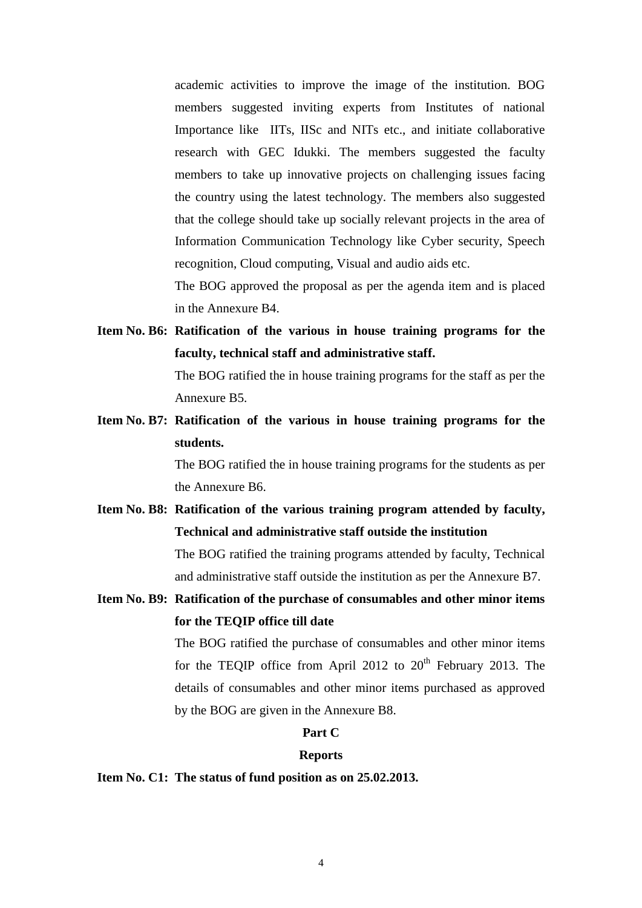academic activities to improve the image of the institution. BOG members suggested inviting experts from Institutes of national Importance like IITs, IISc and NITs etc., and initiate collaborative research with GEC Idukki. The members suggested the faculty members to take up innovative projects on challenging issues facing the country using the latest technology. The members also suggested that the college should take up socially relevant projects in the area of Information Communication Technology like Cyber security, Speech recognition, Cloud computing, Visual and audio aids etc.

The BOG approved the proposal as per the agenda item and is placed in the Annexure B4.

**Item No. B6: Ratification of the various in house training programs for the faculty, technical staff and administrative staff.**

> The BOG ratified the in house training programs for the staff as per the Annexure B5.

**Item No. B7: Ratification of the various in house training programs for the students.**

> The BOG ratified the in house training programs for the students as per the Annexure B6.

- **Item No. B8: Ratification of the various training program attended by faculty, Technical and administrative staff outside the institution** The BOG ratified the training programs attended by faculty, Technical and administrative staff outside the institution as per the Annexure B7.
- **Item No. B9: Ratification of the purchase of consumables and other minor items for the TEQIP office till date**

The BOG ratified the purchase of consumables and other minor items for the TEQIP office from April 2012 to  $20<sup>th</sup>$  February 2013. The details of consumables and other minor items purchased as approved by the BOG are given in the Annexure B8.

## **Part C**

#### **Reports**

**Item No. C1: The status of fund position as on 25.02.2013.**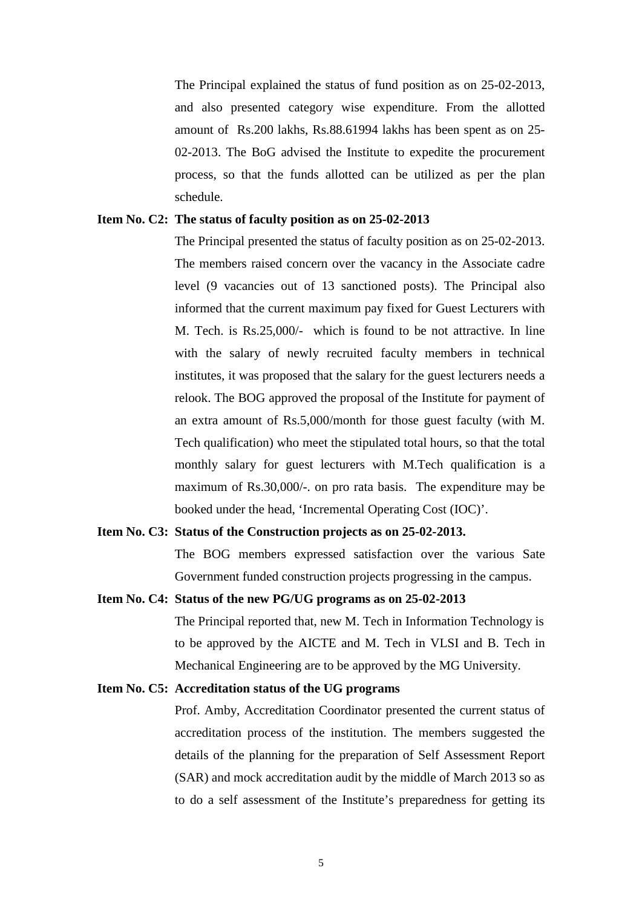The Principal explained the status of fund position as on 25-02-2013, and also presented category wise expenditure. From the allotted amount of Rs.200 lakhs, Rs.88.61994 lakhs has been spent as on 25- 02-2013. The BoG advised the Institute to expedite the procurement process, so that the funds allotted can be utilized as per the plan schedule.

## **Item No. C2: The status of faculty position as on 25-02-2013**

The Principal presented the status of faculty position as on 25-02-2013. The members raised concern over the vacancy in the Associate cadre level (9 vacancies out of 13 sanctioned posts). The Principal also informed that the current maximum pay fixed for Guest Lecturers with M. Tech. is Rs.25,000/- which is found to be not attractive. In line with the salary of newly recruited faculty members in technical institutes, it was proposed that the salary for the guest lecturers needs a relook. The BOG approved the proposal of the Institute for payment of an extra amount of Rs.5,000/month for those guest faculty (with M. Tech qualification) who meet the stipulated total hours, so that the total monthly salary for guest lecturers with M.Tech qualification is a maximum of Rs.30,000/-. on pro rata basis. The expenditure may be booked under the head, 'Incremental Operating Cost (IOC)'.

### **Item No. C3: Status of the Construction projects as on 25-02-2013.**

The BOG members expressed satisfaction over the various Sate Government funded construction projects progressing in the campus.

### **Item No. C4: Status of the new PG/UG programs as on 25-02-2013**

The Principal reported that, new M. Tech in Information Technology is to be approved by the AICTE and M. Tech in VLSI and B. Tech in Mechanical Engineering are to be approved by the MG University.

#### **Item No. C5: Accreditation status of the UG programs**

Prof. Amby, Accreditation Coordinator presented the current status of accreditation process of the institution. The members suggested the details of the planning for the preparation of Self Assessment Report (SAR) and mock accreditation audit by the middle of March 2013 so as to do a self assessment of the Institute's preparedness for getting its